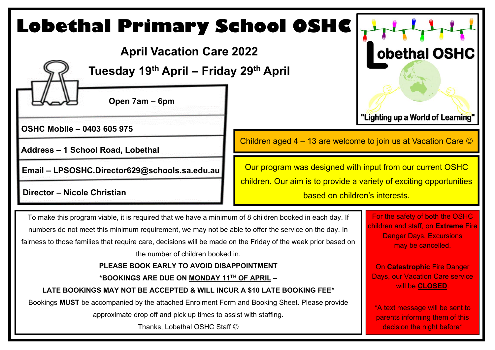### **Lobethal Primary School OSHC** obethal OSHC **April Vacation Care 2022 Tuesday 19th April – Friday 29 th April Open 7am – 6pm**  "Lighting up a World of Learning" **OSHC Mobile – 0403 605 975** Children aged 4 – 13 are welcome to join us at Vacation Care  $\odot$ **Address – 1 School Road, Lobethal** Our program was designed with input from our current OSHC **Email – LPSOSHC.Director629@schools.sa.edu.au** children. Our aim is to provide a variety of exciting opportunities **birector – Nicole Christian and Christian and Christian and Christian and Christian and Christian and Christian and Christian and Christian and Christian and Christian and Christian and Christian and Christian and Christi** For the safety of both the OSHC To make this program viable, it is required that we have a minimum of 8 children booked in each day. If children and staff, on **Extreme** Fire numbers do not meet this minimum requirement, we may not be able to offer the service on the day. In Danger Days, Excursions fairness to those families that require care, decisions will be made on the Friday of the week prior based on may be cancelled. the number of children booked in. **PLEASE BOOK EARLY TO AVOID DISAPPOINTMENT** On **Catastrophic** Fire Danger Days, our Vacation Care service **\*BOOKINGS ARE DUE ON MONDAY 11TH OF APRIL –** will be **CLOSED**. **LATE BOOKINGS MAY NOT BE ACCEPTED & WILL INCUR A \$10 LATE BOOKING FEE**\* Bookings **MUST** be accompanied by the attached Enrolment Form and Booking Sheet. Please provide \*A text message will be sent to approximate drop off and pick up times to assist with staffing. parents informing them of this Thanks, Lobethal OSHC Staff  $\odot$ decision the night before\*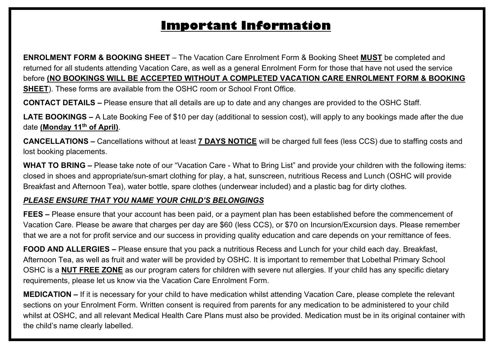# **Important Information**

**ENROLMENT FORM & BOOKING SHEET** – The Vacation Care Enrolment Form & Booking Sheet **MUST** be completed and returned for all students attending Vacation Care, as well as a general Enrolment Form for those that have not used the service before **(NO BOOKINGS WILL BE ACCEPTED WITHOUT A COMPLETED VACATION CARE ENROLMENT FORM & BOOKING SHEET**). These forms are available from the OSHC room or School Front Office.

**CONTACT DETAILS –** Please ensure that all details are up to date and any changes are provided to the OSHC Staff.

**LATE BOOKINGS –** A Late Booking Fee of \$10 per day (additional to session cost), will apply to any bookings made after the due date **(Monday 11th of April)**.

**CANCELLATIONS –** Cancellations without at least **7 DAYS NOTICE** will be charged full fees (less CCS) due to staffing costs and lost booking placements.

**WHAT TO BRING –** Please take note of our "Vacation Care - What to Bring List" and provide your children with the following items: closed in shoes and appropriate/sun-smart clothing for play, a hat, sunscreen, nutritious Recess and Lunch (OSHC will provide Breakfast and Afternoon Tea), water bottle, spare clothes (underwear included) and a plastic bag for dirty clothes.

### *PLEASE ENSURE THAT YOU NAME YOUR CHILD'S BELONGINGS*

**FEES –** Please ensure that your account has been paid, or a payment plan has been established before the commencement of Vacation Care. Please be aware that charges per day are \$60 (less CCS), or \$70 on Incursion/Excursion days. Please remember that we are a not for profit service and our success in providing quality education and care depends on your remittance of fees.

**FOOD AND ALLERGIES –** Please ensure that you pack a nutritious Recess and Lunch for your child each day. Breakfast, Afternoon Tea, as well as fruit and water will be provided by OSHC. It is important to remember that Lobethal Primary School OSHC is a **NUT FREE ZONE** as our program caters for children with severe nut allergies. If your child has any specific dietary requirements, please let us know via the Vacation Care Enrolment Form.

**MEDICATION –** If it is necessary for your child to have medication whilst attending Vacation Care, please complete the relevant sections on your Enrolment Form. Written consent is required from parents for any medication to be administered to your child whilst at OSHC, and all relevant Medical Health Care Plans must also be provided. Medication must be in its original container with the child's name clearly labelled.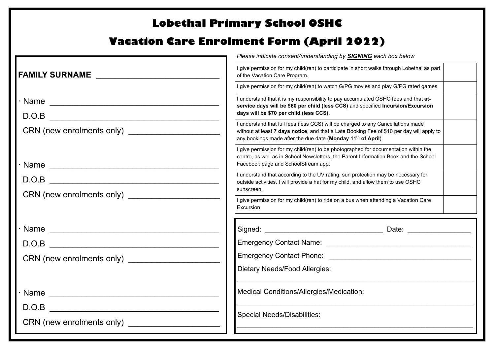## **Lobethal Primary School OSHC**

## **Vacation Care Enrolment Form (April 2022)**

|      | Please indicate consent/understanding by <b>SIGNING</b> each box below                                                                                                                                                                                    |
|------|-----------------------------------------------------------------------------------------------------------------------------------------------------------------------------------------------------------------------------------------------------------|
|      | I give permission for my child(ren) to participate in short walks through Lobethal as part<br>of the Vacation Care Program.                                                                                                                               |
|      | I give permission for my child(ren) to watch G/PG movies and play G/PG rated games.                                                                                                                                                                       |
|      | I understand that it is my responsibility to pay accumulated OSHC fees and that at-<br>service days will be \$60 per child (less CCS) and specified Incursion/Excursion<br>days will be \$70 per child (less CCS).                                        |
|      | I understand that full fees (less CCS) will be charged to any Cancellations made<br>without at least 7 days notice, and that a Late Booking Fee of \$10 per day will apply to<br>any bookings made after the due date (Monday 11 <sup>th</sup> of April). |
|      | I give permission for my child(ren) to be photographed for documentation within the<br>centre, as well as in School Newsletters, the Parent Information Book and the School<br>Facebook page and SchoolStream app.                                        |
|      | I understand that according to the UV rating, sun protection may be necessary for<br>outside activities. I will provide a hat for my child, and allow them to use OSHC<br>sunscreen.                                                                      |
|      | I give permission for my child(ren) to ride on a bus when attending a Vacation Care<br>Excursion.                                                                                                                                                         |
| Name |                                                                                                                                                                                                                                                           |
|      |                                                                                                                                                                                                                                                           |
|      |                                                                                                                                                                                                                                                           |
|      | <b>Dietary Needs/Food Allergies:</b>                                                                                                                                                                                                                      |
|      | Medical Conditions/Allergies/Medication:                                                                                                                                                                                                                  |
|      | <b>Special Needs/Disabilities:</b>                                                                                                                                                                                                                        |
|      |                                                                                                                                                                                                                                                           |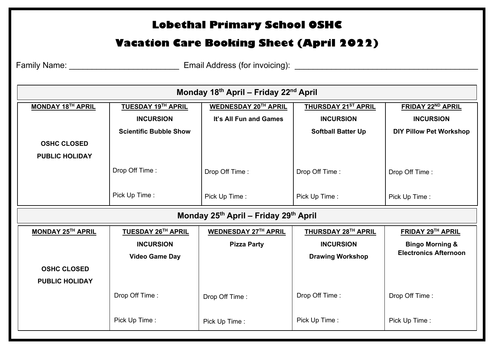#### **MONDAY 18TH APRIL OSHC CLOSED PUBLIC HOLIDAY TUESDAY 19TH APRIL INCURSION Scientific Bubble Show** Drop Off Time : Pick Up Time : **WEDNESDAY 20 TH APRIL It's All Fun and Games** Drop Off Time : Pick Up Time : **THURSDAY 21ST APRIL INCURSION Softball Batter Up** Drop Off Time : Pick Up Time : **FRIDAY 22ND APRIL INCURSION DIY Pillow Pet Workshop** Drop Off Time : Pick Up Time : **Monday 18th April – Friday 22nd April Lobethal Primary School OSHC Vacation Care Booking Sheet (April 2022)** Family Name: \_\_\_\_\_\_\_\_\_\_\_\_\_\_\_\_\_\_\_\_\_\_\_\_ Email Address (for invoicing): \_\_\_\_\_\_\_\_\_\_\_\_\_\_\_\_\_\_\_\_\_\_\_\_\_\_\_\_\_\_\_\_\_\_\_\_\_\_\_\_ **Monday 25th April – Friday 29th April MONDAY 25TH APRIL OSHC CLOSED PUBLIC HOLIDAY TUESDAY 26TH APRIL INCURSION Video Game Day** Drop Off Time : Pick Up Time : **WEDNESDAY 27TH APRIL Pizza Party**  Drop Off Time : Pick Up Time : **THURSDAY 28TH APRIL INCURSION Drawing Workshop**  Drop Off Time : Pick Up Time : **FRIDAY 29TH APRIL Bingo Morning & Electronics Afternoon** Drop Off Time : Pick Up Time :